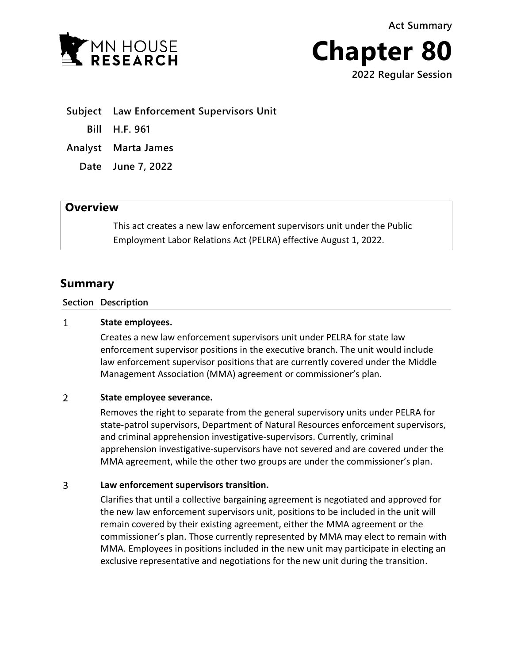**Act Summary**





**Subject Law Enforcement Supervisors Unit**

**Bill H.F. 961**

**Analyst Marta James**

**Date June 7, 2022**

## **Overview**

This act creates a new law enforcement supervisors unit under the Public Employment Labor Relations Act (PELRA) effective August 1, 2022.

# **Summary**

### **Section Description**

#### $\mathbf{1}$ **State employees.**

Creates a new law enforcement supervisors unit under PELRA for state law enforcement supervisor positions in the executive branch. The unit would include law enforcement supervisor positions that are currently covered under the Middle Management Association (MMA) agreement or commissioner's plan.

#### $\overline{2}$ **State employee severance.**

Removes the right to separate from the general supervisory units under PELRA for state-patrol supervisors, Department of Natural Resources enforcement supervisors, and criminal apprehension investigative-supervisors. Currently, criminal apprehension investigative-supervisors have not severed and are covered under the MMA agreement, while the other two groups are under the commissioner's plan.

#### $\overline{3}$ **Law enforcement supervisors transition.**

Clarifies that until a collective bargaining agreement is negotiated and approved for the new law enforcement supervisors unit, positions to be included in the unit will remain covered by their existing agreement, either the MMA agreement or the commissioner's plan. Those currently represented by MMA may elect to remain with MMA. Employees in positions included in the new unit may participate in electing an exclusive representative and negotiations for the new unit during the transition.